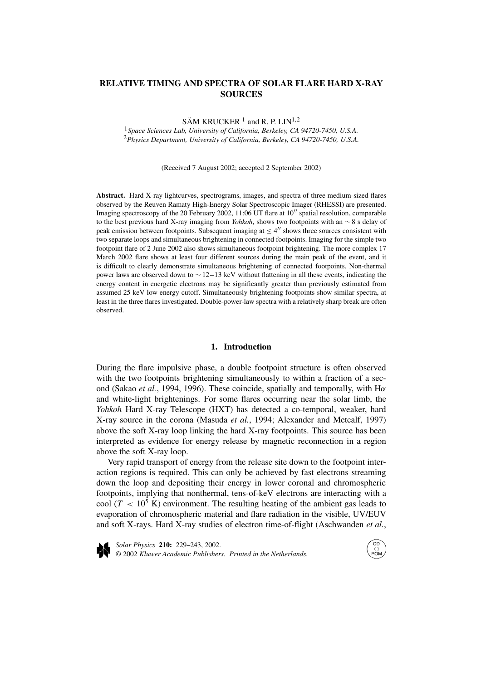# **RELATIVE TIMING AND SPECTRA OF SOLAR FLARE HARD X-RAY SOURCES**

SÄM KRUCKER<sup>1</sup> and R. P. LIN<sup>1,2</sup>

<sup>1</sup>*Space Sciences Lab, University of California, Berkeley, CA 94720-7450, U.S.A.* <sup>2</sup>*Physics Department, University of California, Berkeley, CA 94720-7450, U.S.A.*

(Received 7 August 2002; accepted 2 September 2002)

**Abstract.** Hard X-ray lightcurves, spectrograms, images, and spectra of three medium-sized flares observed by the Reuven Ramaty High-Energy Solar Spectroscopic Imager (RHESSI) are presented. Imaging spectroscopy of the 20 February 2002, 11:06 UT flare at  $10''$  spatial resolution, comparable to the best previous hard X-ray imaging from *Yohkoh*, shows two footpoints with an ∼ 8 s delay of peak emission between footpoints. Subsequent imaging at  $\leq 4''$  shows three sources consistent with two separate loops and simultaneous brightening in connected footpoints. Imaging for the simple two footpoint flare of 2 June 2002 also shows simultaneous footpoint brightening. The more complex 17 March 2002 flare shows at least four different sources during the main peak of the event, and it is difficult to clearly demonstrate simultaneous brightening of connected footpoints. Non-thermal power laws are observed down to ∼ 12–13 keV without flattening in all these events, indicating the energy content in energetic electrons may be significantly greater than previously estimated from assumed 25 keV low energy cutoff. Simultaneously brightening footpoints show similar spectra, at least in the three flares investigated. Double-power-law spectra with a relatively sharp break are often observed.

## **1. Introduction**

During the flare impulsive phase, a double footpoint structure is often observed with the two footpoints brightening simultaneously to within a fraction of a second (Sakao *et al.*, 1994, 1996). These coincide, spatially and temporally, with H*α* and white-light brightenings. For some flares occurring near the solar limb, the *Yohkoh* Hard X-ray Telescope (HXT) has detected a co-temporal, weaker, hard X-ray source in the corona (Masuda *et al.*, 1994; Alexander and Metcalf, 1997) above the soft X-ray loop linking the hard X-ray footpoints. This source has been interpreted as evidence for energy release by magnetic reconnection in a region above the soft X-ray loop.

Very rapid transport of energy from the release site down to the footpoint interaction regions is required. This can only be achieved by fast electrons streaming down the loop and depositing their energy in lower coronal and chromospheric footpoints, implying that nonthermal, tens-of-keV electrons are interacting with a cool ( $T < 10^5$  K) environment. The resulting heating of the ambient gas leads to evaporation of chromospheric material and flare radiation in the visible, UV/EUV and soft X-rays. Hard X-ray studies of electron time-of-flight (Aschwanden *et al.*,



*Solar Physics* **210:** 229–243, 2002. © 2002 *Kluwer Academic Publishers. Printed in the Netherlands.*

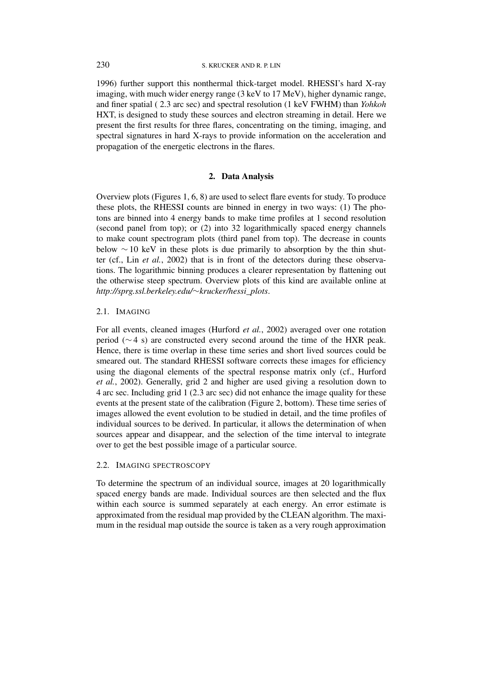1996) further support this nonthermal thick-target model. RHESSI's hard X-ray imaging, with much wider energy range (3 keV to 17 MeV), higher dynamic range, and finer spatial ( 2.3 arc sec) and spectral resolution (1 keV FWHM) than *Yohkoh* HXT, is designed to study these sources and electron streaming in detail. Here we present the first results for three flares, concentrating on the timing, imaging, and spectral signatures in hard X-rays to provide information on the acceleration and propagation of the energetic electrons in the flares.

# **2. Data Analysis**

Overview plots (Figures 1, 6, 8) are used to select flare events for study. To produce these plots, the RHESSI counts are binned in energy in two ways: (1) The photons are binned into 4 energy bands to make time profiles at 1 second resolution (second panel from top); or (2) into 32 logarithmically spaced energy channels to make count spectrogram plots (third panel from top). The decrease in counts below  $\sim$  10 keV in these plots is due primarily to absorption by the thin shutter (cf., Lin *et al.*, 2002) that is in front of the detectors during these observations. The logarithmic binning produces a clearer representation by flattening out the otherwise steep spectrum. Overview plots of this kind are available online at *http://sprg.ssl.berkeley.edu/*∼*krucker/hessi\_plots*.

## 2.1. IMAGING

For all events, cleaned images (Hurford *et al.*, 2002) averaged over one rotation period (∼ 4 s) are constructed every second around the time of the HXR peak. Hence, there is time overlap in these time series and short lived sources could be smeared out. The standard RHESSI software corrects these images for efficiency using the diagonal elements of the spectral response matrix only (cf., Hurford *et al.*, 2002). Generally, grid 2 and higher are used giving a resolution down to 4 arc sec. Including grid 1 (2*.*3 arc sec) did not enhance the image quality for these events at the present state of the calibration (Figure 2, bottom). These time series of images allowed the event evolution to be studied in detail, and the time profiles of individual sources to be derived. In particular, it allows the determination of when sources appear and disappear, and the selection of the time interval to integrate over to get the best possible image of a particular source.

# 2.2. IMAGING SPECTROSCOPY

To determine the spectrum of an individual source, images at 20 logarithmically spaced energy bands are made. Individual sources are then selected and the flux within each source is summed separately at each energy. An error estimate is approximated from the residual map provided by the CLEAN algorithm. The maximum in the residual map outside the source is taken as a very rough approximation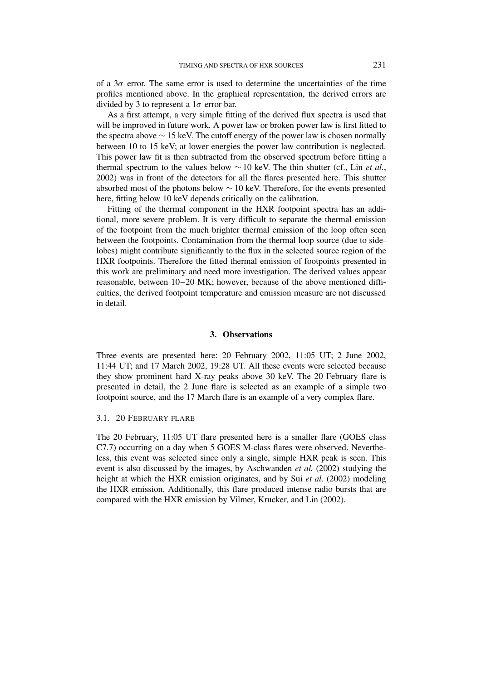of a 3*σ* error. The same error is used to determine the uncertainties of the time profiles mentioned above. In the graphical representation, the derived errors are divided by 3 to represent a 1*σ* error bar.

As a first attempt, a very simple fitting of the derived flux spectra is used that will be improved in future work. A power law or broken power law is first fitted to the spectra above  $\sim$  15 keV. The cutoff energy of the power law is chosen normally between 10 to 15 keV; at lower energies the power law contribution is neglected. This power law fit is then subtracted from the observed spectrum before fitting a thermal spectrum to the values below  $\sim$  10 keV. The thin shutter (cf., Lin *et al.*, 2002) was in front of the detectors for all the flares presented here. This shutter absorbed most of the photons below  $\sim$  10 keV. Therefore, for the events presented here, fitting below 10 keV depends critically on the calibration.

Fitting of the thermal component in the HXR footpoint spectra has an additional, more severe problem. It is very difficult to separate the thermal emission of the footpoint from the much brighter thermal emission of the loop often seen between the footpoints. Contamination from the thermal loop source (due to sidelobes) might contribute significantly to the flux in the selected source region of the HXR footpoints. Therefore the fitted thermal emission of footpoints presented in this work are preliminary and need more investigation. The derived values appear reasonable, between 10–20 MK; however, because of the above mentioned difficulties, the derived footpoint temperature and emission measure are not discussed in detail.

## **3. Observations**

Three events are presented here: 20 February 2002, 11:05 UT; 2 June 2002, 11:44 UT; and 17 March 2002, 19:28 UT. All these events were selected because they show prominent hard X-ray peaks above 30 keV. The 20 February flare is presented in detail, the 2 June flare is selected as an example of a simple two footpoint source, and the 17 March flare is an example of a very complex flare.

# 3.1. 20 FEBRUARY FLARE

The 20 February, 11:05 UT flare presented here is a smaller flare (GOES class C7.7) occurring on a day when 5 GOES M-class flares were observed. Nevertheless, this event was selected since only a single, simple HXR peak is seen. This event is also discussed by the images, by Aschwanden *et al.* (2002) studying the height at which the HXR emission originates, and by Sui *et al.* (2002) modeling the HXR emission. Additionally, this flare produced intense radio bursts that are compared with the HXR emission by Vilmer, Krucker, and Lin (2002).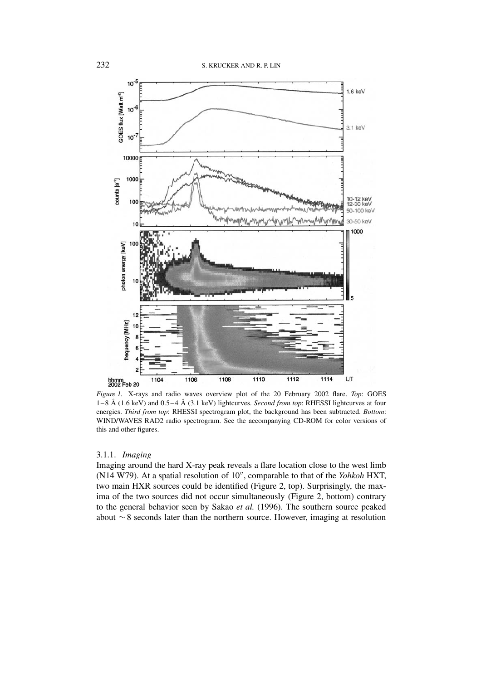

*Figure 1.* X-rays and radio waves overview plot of the 20 February 2002 flare. *Top*: GOES 1–8 Å (1.6 keV) and 0.5–4 Å (3.1 keV) lightcurves. *Second from top*: RHESSI lightcurves at four energies. *Third from top*: RHESSI spectrogram plot, the background has been subtracted. *Bottom*: WIND/WAVES RAD2 radio spectrogram. See the accompanying CD-ROM for color versions of this and other figures.

### 3.1.1. *Imaging*

Imaging around the hard X-ray peak reveals a flare location close to the west limb (N14 W79). At a spatial resolution of 10", comparable to that of the *Yohkoh* HXT, two main HXR sources could be identified (Figure 2, top). Surprisingly, the maxima of the two sources did not occur simultaneously (Figure 2, bottom) contrary to the general behavior seen by Sakao *et al.* (1996). The southern source peaked about ∼ 8 seconds later than the northern source. However, imaging at resolution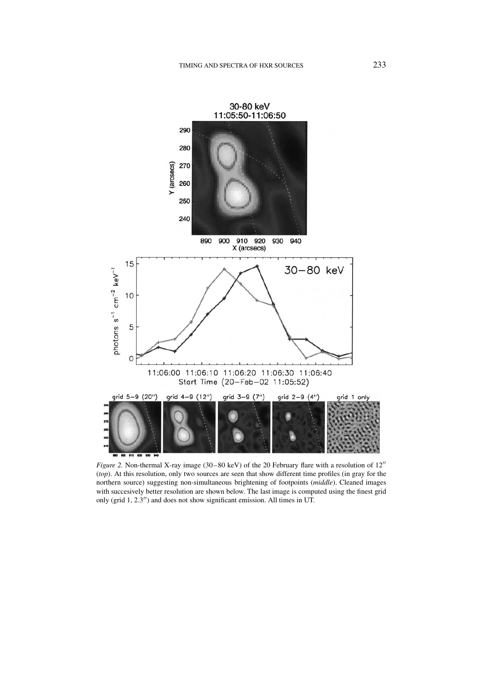

*Figure 2.* Non-thermal X-ray image (30–80 keV) of the 20 February flare with a resolution of  $12''$ (*top*). At this resolution, only two sources are seen that show different time profiles (in gray for the northern source) suggesting non-simultaneous brightening of footpoints (*middle*). Cleaned images with succesively better resolution are shown below. The last image is computed using the finest grid only (grid  $1, 2.3$ ") and does not show significant emission. All times in UT.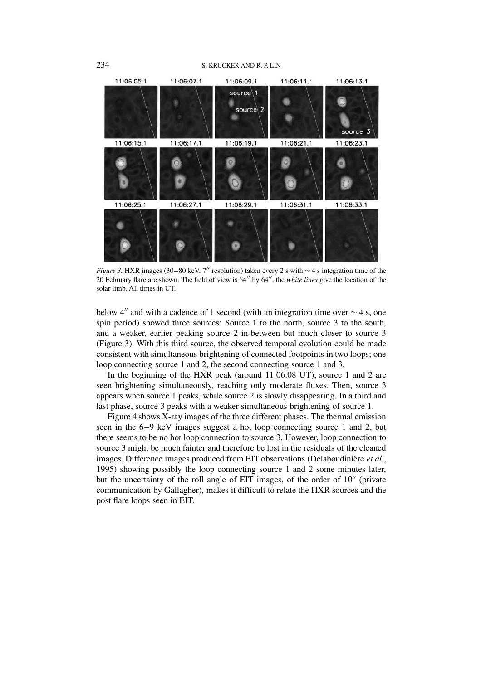#### 234 S. KRUCKER AND R. P. LIN



*Figure 3.* HXR images (30–80 keV, 7″ resolution) taken every 2 s with ∼4 s integration time of the 20 February flare are shown. The field of view is 64" by 64", the *white lines* give the location of the solar limb. All times in UT.

below 4" and with a cadence of 1 second (with an integration time over  $\sim$  4 s, one spin period) showed three sources: Source 1 to the north, source 3 to the south, and a weaker, earlier peaking source 2 in-between but much closer to source 3 (Figure 3). With this third source, the observed temporal evolution could be made consistent with simultaneous brightening of connected footpoints in two loops; one loop connecting source 1 and 2, the second connecting source 1 and 3.

In the beginning of the HXR peak (around 11:06:08 UT), source 1 and 2 are seen brightening simultaneously, reaching only moderate fluxes. Then, source 3 appears when source 1 peaks, while source 2 is slowly disappearing. In a third and last phase, source 3 peaks with a weaker simultaneous brightening of source 1.

Figure 4 shows X-ray images of the three different phases. The thermal emission seen in the 6–9 keV images suggest a hot loop connecting source 1 and 2, but there seems to be no hot loop connection to source 3. However, loop connection to source 3 might be much fainter and therefore be lost in the residuals of the cleaned images. Difference images produced from EIT observations (Delaboudinière *et al.*, 1995) showing possibly the loop connecting source 1 and 2 some minutes later, but the uncertainty of the roll angle of EIT images, of the order of  $10<sup>′</sup>$  (private communication by Gallagher), makes it difficult to relate the HXR sources and the post flare loops seen in EIT.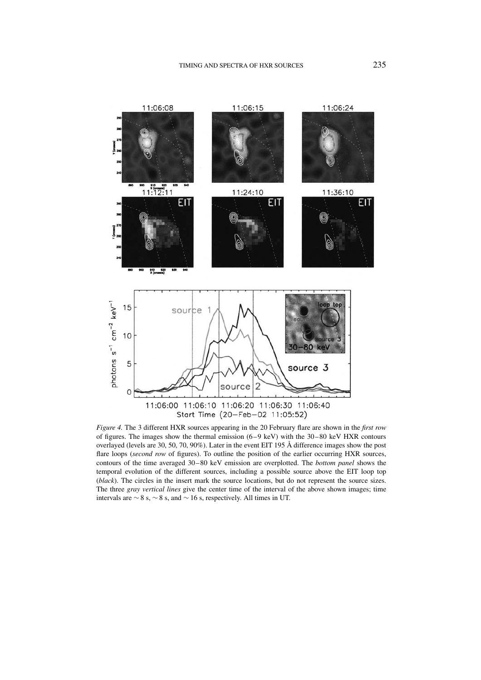

*Figure 4.* The 3 different HXR sources appearing in the 20 February flare are shown in the *first row* of figures. The images show the thermal emission (6–9 keV) with the 30–80 keV HXR contours overlayed (levels are 30, 50, 70, 90%). Later in the event EIT 195 Å difference images show the post flare loops (*second row* of figures). To outline the position of the earlier occurring HXR sources, contours of the time averaged 30–80 keV emission are overplotted. The *bottom panel* shows the temporal evolution of the different sources, including a possible source above the EIT loop top (*black*). The circles in the insert mark the source locations, but do not represent the source sizes. The three *gray vertical lines* give the center time of the interval of the above shown images; time intervals are ∼ 8 s, ∼ 8 s, and ∼ 16 s, respectively. All times in UT.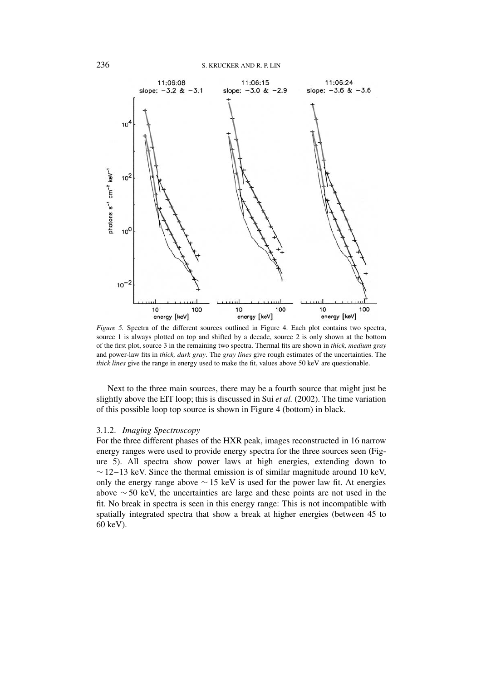

*Figure 5.* Spectra of the different sources outlined in Figure 4. Each plot contains two spectra, source 1 is always plotted on top and shifted by a decade, source 2 is only shown at the bottom of the first plot, source 3 in the remaining two spectra. Thermal fits are shown in *thick, medium gray* and power-law fits in *thick, dark gray*. The *gray lines* give rough estimates of the uncertainties. The *thick lines* give the range in energy used to make the fit, values above 50 keV are questionable.

Next to the three main sources, there may be a fourth source that might just be slightly above the EIT loop; this is discussed in Sui *et al.* (2002). The time variation of this possible loop top source is shown in Figure 4 (bottom) in black.

### 3.1.2. *Imaging Spectroscopy*

For the three different phases of the HXR peak, images reconstructed in 16 narrow energy ranges were used to provide energy spectra for the three sources seen (Figure 5). All spectra show power laws at high energies, extending down to  $\sim$  12–13 keV. Since the thermal emission is of similar magnitude around 10 keV, only the energy range above  $\sim$  15 keV is used for the power law fit. At energies above ∼ 50 keV, the uncertainties are large and these points are not used in the fit. No break in spectra is seen in this energy range: This is not incompatible with spatially integrated spectra that show a break at higher energies (between 45 to 60 keV).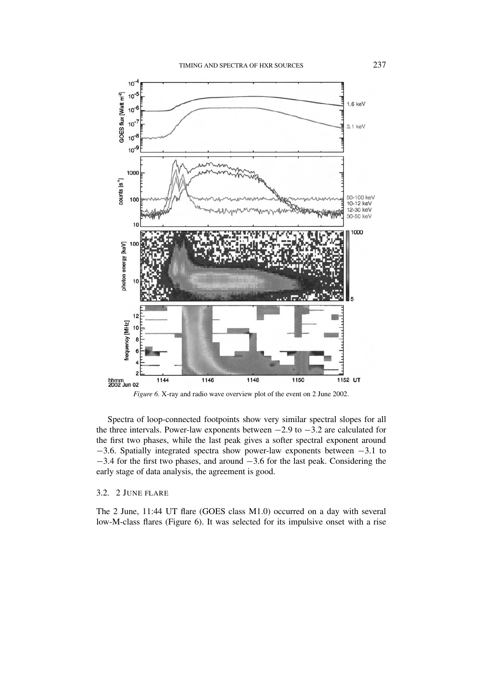

*Figure 6.* X-ray and radio wave overview plot of the event on 2 June 2002.

Spectra of loop-connected footpoints show very similar spectral slopes for all the three intervals. Power-law exponents between  $-2.9$  to  $-3.2$  are calculated for the first two phases, while the last peak gives a softer spectral exponent around −3.6. Spatially integrated spectra show power-law exponents between −3.1 to −3.4 for the first two phases, and around −3.6 for the last peak. Considering the early stage of data analysis, the agreement is good.

# 3.2. 2 JUNE FLARE

The 2 June, 11:44 UT flare (GOES class M1.0) occurred on a day with several low-M-class flares (Figure 6). It was selected for its impulsive onset with a rise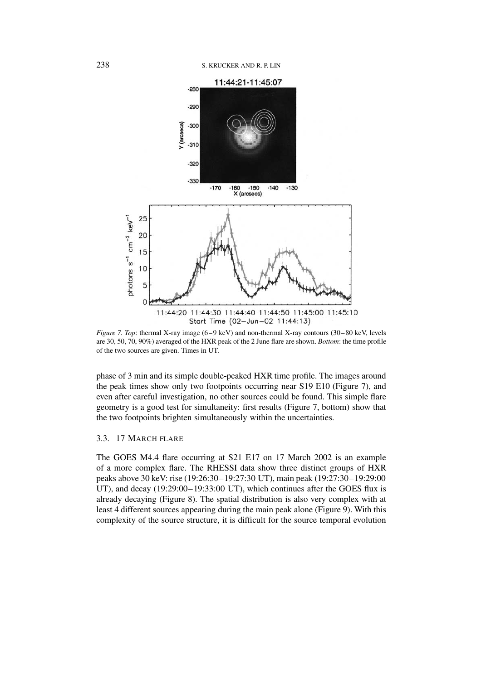

*Figure 7. Top*: thermal X-ray image (6–9 keV) and non-thermal X-ray contours (30–80 keV, levels are 30, 50, 70, 90%) averaged of the HXR peak of the 2 June flare are shown. *Bottom*: the time profile of the two sources are given. Times in UT.

phase of 3 min and its simple double-peaked HXR time profile. The images around the peak times show only two footpoints occurring near S19 E10 (Figure 7), and even after careful investigation, no other sources could be found. This simple flare geometry is a good test for simultaneity: first results (Figure 7, bottom) show that the two footpoints brighten simultaneously within the uncertainties.

# 3.3. 17 MARCH FLARE

The GOES M4.4 flare occurring at S21 E17 on 17 March 2002 is an example of a more complex flare. The RHESSI data show three distinct groups of HXR peaks above 30 keV: rise (19:26:30–19:27:30 UT), main peak (19:27:30–19:29:00 UT), and decay (19:29:00–19:33:00 UT), which continues after the GOES flux is already decaying (Figure 8). The spatial distribution is also very complex with at least 4 different sources appearing during the main peak alone (Figure 9). With this complexity of the source structure, it is difficult for the source temporal evolution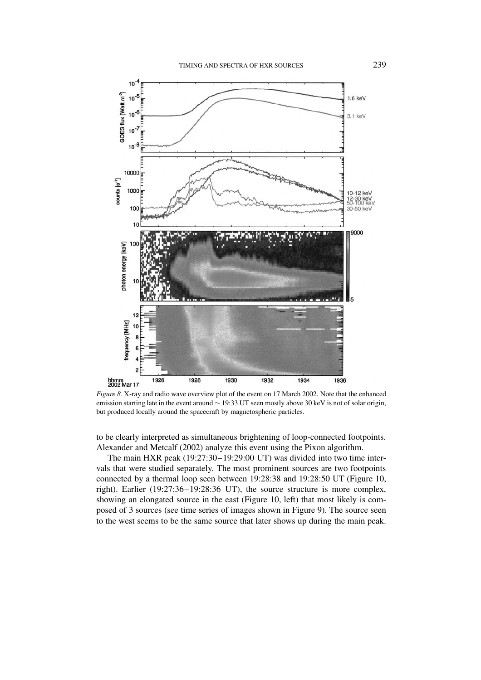

*Figure 8.* X-ray and radio wave overview plot of the event on 17 March 2002. Note that the enhanced emission starting late in the event around ∼ 19:33 UT seen mostly above 30 keV is not of solar origin, but produced locally around the spacecraft by magnetospheric particles.

to be clearly interpreted as simultaneous brightening of loop-connected footpoints. Alexander and Metcalf (2002) analyze this event using the Pixon algorithm.

The main HXR peak (19:27:30–19:29:00 UT) was divided into two time intervals that were studied separately. The most prominent sources are two footpoints connected by a thermal loop seen between 19:28:38 and 19:28:50 UT (Figure 10, right). Earlier (19:27:36–19:28:36 UT), the source structure is more complex, showing an elongated source in the east (Figure 10, left) that most likely is composed of 3 sources (see time series of images shown in Figure 9). The source seen to the west seems to be the same source that later shows up during the main peak.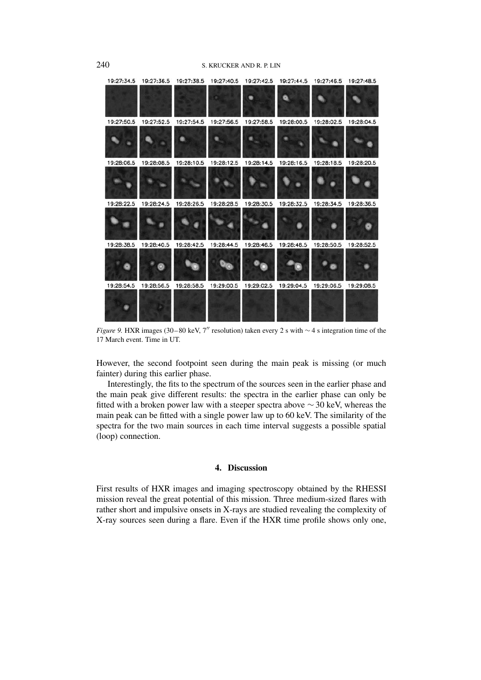

*Figure 9.* HXR images (30–80 keV, 7" resolution) taken every 2 s with ∼4 s integration time of the 17 March event. Time in UT.

However, the second footpoint seen during the main peak is missing (or much fainter) during this earlier phase.

Interestingly, the fits to the spectrum of the sources seen in the earlier phase and the main peak give different results: the spectra in the earlier phase can only be fitted with a broken power law with a steeper spectra above  $\sim$  30 keV, whereas the main peak can be fitted with a single power law up to 60 keV. The similarity of the spectra for the two main sources in each time interval suggests a possible spatial (loop) connection.

# **4. Discussion**

First results of HXR images and imaging spectroscopy obtained by the RHESSI mission reveal the great potential of this mission. Three medium-sized flares with rather short and impulsive onsets in X-rays are studied revealing the complexity of X-ray sources seen during a flare. Even if the HXR time profile shows only one,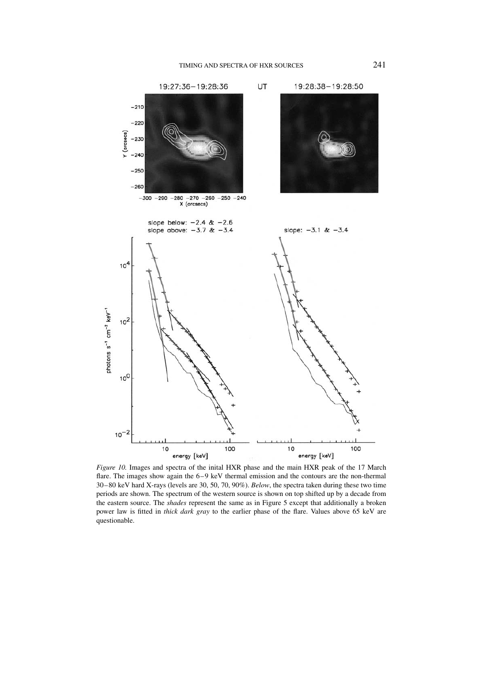

*Figure 10.* Images and spectra of the inital HXR phase and the main HXR peak of the 17 March flare. The images show again the 6–9 keV thermal emission and the contours are the non-thermal 30–80 keV hard X-rays (levels are 30, 50, 70, 90%). *Below*, the spectra taken during these two time periods are shown. The spectrum of the western source is shown on top shifted up by a decade from the eastern source. The *shades* represent the same as in Figure 5 except that additionally a broken power law is fitted in *thick dark gray* to the earlier phase of the flare. Values above 65 keV are questionable.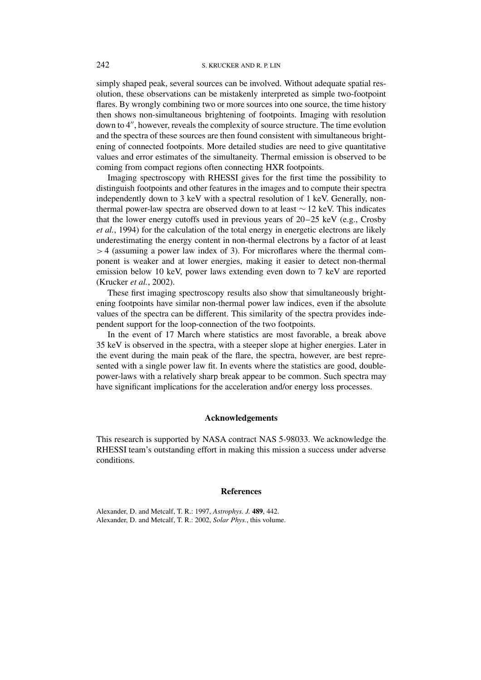simply shaped peak, several sources can be involved. Without adequate spatial resolution, these observations can be mistakenly interpreted as simple two-footpoint flares. By wrongly combining two or more sources into one source, the time history then shows non-simultaneous brightening of footpoints. Imaging with resolution down to 4", however, reveals the complexity of source structure. The time evolution and the spectra of these sources are then found consistent with simultaneous brightening of connected footpoints. More detailed studies are need to give quantitative values and error estimates of the simultaneity. Thermal emission is observed to be coming from compact regions often connecting HXR footpoints.

Imaging spectroscopy with RHESSI gives for the first time the possibility to distinguish footpoints and other features in the images and to compute their spectra independently down to 3 keV with a spectral resolution of 1 keV. Generally, nonthermal power-law spectra are observed down to at least  $\sim$  12 keV. This indicates that the lower energy cutoffs used in previous years of 20–25 keV (e.g., Crosby *et al.*, 1994) for the calculation of the total energy in energetic electrons are likely underestimating the energy content in non-thermal electrons by a factor of at least *>* 4 (assuming a power law index of 3). For microflares where the thermal component is weaker and at lower energies, making it easier to detect non-thermal emission below 10 keV, power laws extending even down to 7 keV are reported (Krucker *et al.*, 2002).

These first imaging spectroscopy results also show that simultaneously brightening footpoints have similar non-thermal power law indices, even if the absolute values of the spectra can be different. This similarity of the spectra provides independent support for the loop-connection of the two footpoints.

In the event of 17 March where statistics are most favorable, a break above 35 keV is observed in the spectra, with a steeper slope at higher energies. Later in the event during the main peak of the flare, the spectra, however, are best represented with a single power law fit. In events where the statistics are good, doublepower-laws with a relatively sharp break appear to be common. Such spectra may have significant implications for the acceleration and/or energy loss processes.

### **Acknowledgements**

This research is supported by NASA contract NAS 5-98033. We acknowledge the RHESSI team's outstanding effort in making this mission a success under adverse conditions.

#### **References**

Alexander, D. and Metcalf, T. R.: 1997, *Astrophys. J.* **489**, 442. Alexander, D. and Metcalf, T. R.: 2002, *Solar Phys.*, this volume.